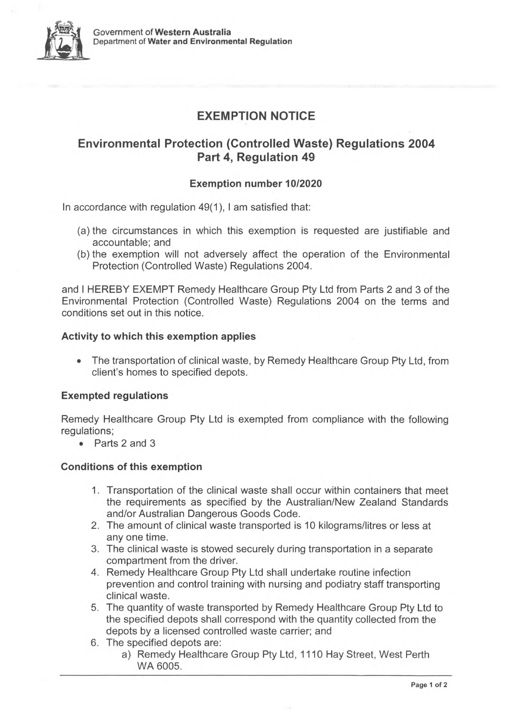

# **EXEMPTION NOTICE**

# **Environmental Protection (Controlled Waste) Regulations 2004 Part 4, Regulation 49**

# **Exemption number 10/2020**

In accordance with regulation 49(1), <sup>I</sup> am satisfied that:

- (a) the circumstances in which this exemption is requested are justifiable and accountable; and
- (b) the exemption will not adversely affect the operation of the Environmental Protection (Controlled Waste) Regulations 2004.

and <sup>I</sup> HEREBY EXEMPT Remedy Healthcare Group Pty Ltd from Parts 2 and 3 of the Environmental Protection (Controlled Waste) Regulations 2004 on the terms and conditions set out in this notice.

### **Activity to which this exemption applies**

• The transportation of clinical waste, by Remedy Healthcare Group Pty Ltd, from client's homes to specified depots.

# **Exempted regulations**

Remedy Healthcare Group Pty Ltd is exempted from compliance with the following regulations;

• Parts 2 and 3

# **Conditions of this exemption**

- 1. Transportation of the clinical waste shall occur within containers that meet the requirements as specified by the Australian/New Zealand Standards and/or Australian Dangerous Goods Code.
- 2. The amount of clinical waste transported is 10 kilograms/litres or less at any one time.
- 3. The clinical waste is stowed securely during transportation in a separate compartment from the driver.
- 4. Remedy Healthcare Group Pty Ltd shall undertake routine infection prevention and control training with nursing and podiatry staff transporting clinical waste.
- 5. The quantity of waste transported by Remedy Healthcare Group Pty Ltd to the specified depots shall correspond with the quantity collected from the depots by a licensed controlled waste carrier; and
- 6. The specified depots are:
	- a) Remedy Healthcare Group Pty Ltd, 1110 Hay Street, West Perth WA 6005.